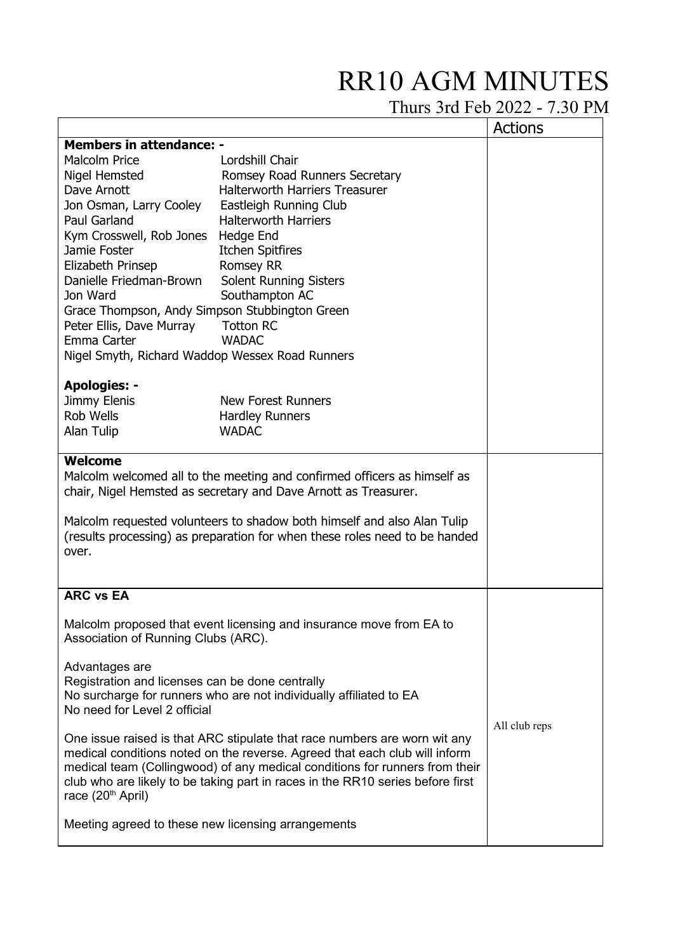## RR10 AGM MINUTES

Thurs 3rd Feb 2022 - 7.30 PM

|                                                                                                                                                                                                                                                                                                                                                           |                                       | <b>Actions</b> |  |  |
|-----------------------------------------------------------------------------------------------------------------------------------------------------------------------------------------------------------------------------------------------------------------------------------------------------------------------------------------------------------|---------------------------------------|----------------|--|--|
| <b>Members in attendance: -</b>                                                                                                                                                                                                                                                                                                                           |                                       |                |  |  |
| <b>Malcolm Price</b>                                                                                                                                                                                                                                                                                                                                      | Lordshill Chair                       |                |  |  |
| Nigel Hemsted                                                                                                                                                                                                                                                                                                                                             | Romsey Road Runners Secretary         |                |  |  |
| Dave Arnott                                                                                                                                                                                                                                                                                                                                               | <b>Halterworth Harriers Treasurer</b> |                |  |  |
| Jon Osman, Larry Cooley                                                                                                                                                                                                                                                                                                                                   | Eastleigh Running Club                |                |  |  |
| Paul Garland                                                                                                                                                                                                                                                                                                                                              | <b>Halterworth Harriers</b>           |                |  |  |
| Kym Crosswell, Rob Jones                                                                                                                                                                                                                                                                                                                                  | Hedge End                             |                |  |  |
| Jamie Foster                                                                                                                                                                                                                                                                                                                                              | <b>Itchen Spitfires</b>               |                |  |  |
| Elizabeth Prinsep                                                                                                                                                                                                                                                                                                                                         | <b>Romsey RR</b>                      |                |  |  |
| Danielle Friedman-Brown                                                                                                                                                                                                                                                                                                                                   | <b>Solent Running Sisters</b>         |                |  |  |
| Jon Ward                                                                                                                                                                                                                                                                                                                                                  | Southampton AC                        |                |  |  |
| Grace Thompson, Andy Simpson Stubbington Green                                                                                                                                                                                                                                                                                                            |                                       |                |  |  |
| Peter Ellis, Dave Murray                                                                                                                                                                                                                                                                                                                                  | <b>Totton RC</b>                      |                |  |  |
| Emma Carter                                                                                                                                                                                                                                                                                                                                               | <b>WADAC</b>                          |                |  |  |
| Nigel Smyth, Richard Waddop Wessex Road Runners                                                                                                                                                                                                                                                                                                           |                                       |                |  |  |
|                                                                                                                                                                                                                                                                                                                                                           |                                       |                |  |  |
| <b>Apologies: -</b>                                                                                                                                                                                                                                                                                                                                       |                                       |                |  |  |
| Jimmy Elenis                                                                                                                                                                                                                                                                                                                                              | <b>New Forest Runners</b>             |                |  |  |
| Rob Wells                                                                                                                                                                                                                                                                                                                                                 | <b>Hardley Runners</b>                |                |  |  |
| Alan Tulip                                                                                                                                                                                                                                                                                                                                                | <b>WADAC</b>                          |                |  |  |
| <b>Welcome</b><br>Malcolm welcomed all to the meeting and confirmed officers as himself as<br>chair, Nigel Hemsted as secretary and Dave Arnott as Treasurer.<br>Malcolm requested volunteers to shadow both himself and also Alan Tulip<br>(results processing) as preparation for when these roles need to be handed<br>over.                           |                                       |                |  |  |
| <b>ARC vs EA</b>                                                                                                                                                                                                                                                                                                                                          |                                       |                |  |  |
| Malcolm proposed that event licensing and insurance move from EA to<br>Association of Running Clubs (ARC).                                                                                                                                                                                                                                                |                                       |                |  |  |
| Advantages are<br>Registration and licenses can be done centrally<br>No surcharge for runners who are not individually affiliated to EA<br>No need for Level 2 official                                                                                                                                                                                   |                                       |                |  |  |
| One issue raised is that ARC stipulate that race numbers are worn wit any<br>medical conditions noted on the reverse. Agreed that each club will inform<br>medical team (Collingwood) of any medical conditions for runners from their<br>club who are likely to be taking part in races in the RR10 series before first<br>race (20 <sup>th</sup> April) | All club reps                         |                |  |  |
| Meeting agreed to these new licensing arrangements                                                                                                                                                                                                                                                                                                        |                                       |                |  |  |
|                                                                                                                                                                                                                                                                                                                                                           |                                       |                |  |  |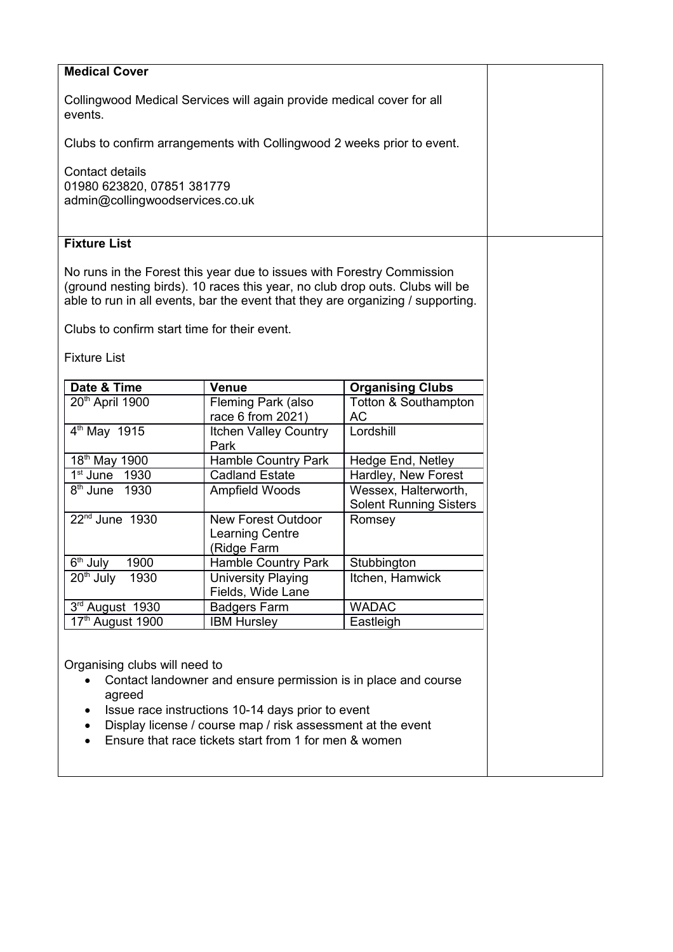| <b>Medical Cover</b>                                                                                                                                                                                                                                                                                             |                                                                    |                                                       |  |  |
|------------------------------------------------------------------------------------------------------------------------------------------------------------------------------------------------------------------------------------------------------------------------------------------------------------------|--------------------------------------------------------------------|-------------------------------------------------------|--|--|
| Collingwood Medical Services will again provide medical cover for all<br>events.                                                                                                                                                                                                                                 |                                                                    |                                                       |  |  |
| Clubs to confirm arrangements with Collingwood 2 weeks prior to event.                                                                                                                                                                                                                                           |                                                                    |                                                       |  |  |
| <b>Contact details</b><br>01980 623820, 07851 381779<br>admin@collingwoodservices.co.uk                                                                                                                                                                                                                          |                                                                    |                                                       |  |  |
| <b>Fixture List</b>                                                                                                                                                                                                                                                                                              |                                                                    |                                                       |  |  |
| No runs in the Forest this year due to issues with Forestry Commission<br>(ground nesting birds). 10 races this year, no club drop outs. Clubs will be<br>able to run in all events, bar the event that they are organizing / supporting.<br>Clubs to confirm start time for their event.<br><b>Fixture List</b> |                                                                    |                                                       |  |  |
| Date & Time                                                                                                                                                                                                                                                                                                      | <b>Venue</b>                                                       | <b>Organising Clubs</b>                               |  |  |
| 20th April 1900                                                                                                                                                                                                                                                                                                  | Fleming Park (also<br>race 6 from 2021)                            | <b>Totton &amp; Southampton</b><br><b>AC</b>          |  |  |
| $4th$ May 1915                                                                                                                                                                                                                                                                                                   | Itchen Valley Country<br>Park                                      | Lordshill                                             |  |  |
| 18 <sup>th</sup> May 1900                                                                                                                                                                                                                                                                                        | <b>Hamble Country Park</b>                                         | Hedge End, Netley                                     |  |  |
| $1st$ June $1930$                                                                                                                                                                                                                                                                                                | <b>Cadland Estate</b>                                              | Hardley, New Forest                                   |  |  |
| 8 <sup>th</sup> June 1930                                                                                                                                                                                                                                                                                        | Ampfield Woods                                                     | Wessex, Halterworth,<br><b>Solent Running Sisters</b> |  |  |
| $22nd$ June 1930                                                                                                                                                                                                                                                                                                 | <b>New Forest Outdoor</b><br><b>Learning Centre</b><br>(Ridge Farm | Romsey                                                |  |  |
| 6 <sup>th</sup> July<br>1900                                                                                                                                                                                                                                                                                     | <b>Hamble Country Park</b>                                         | Stubbington                                           |  |  |
| $20th$ July<br>1930                                                                                                                                                                                                                                                                                              | <b>University Playing</b><br>Fields, Wide Lane                     | Itchen, Hamwick                                       |  |  |
| 3rd August 1930                                                                                                                                                                                                                                                                                                  | <b>Badgers Farm</b>                                                | <b>WADAC</b>                                          |  |  |
| 17th August 1900                                                                                                                                                                                                                                                                                                 | <b>IBM Hursley</b>                                                 | Eastleigh                                             |  |  |
| Organising clubs will need to<br>Contact landowner and ensure permission is in place and course<br>agreed<br>Issue race instructions 10-14 days prior to event<br>Display license / course map / risk assessment at the event<br>Ensure that race tickets start from 1 for men & women                           |                                                                    |                                                       |  |  |